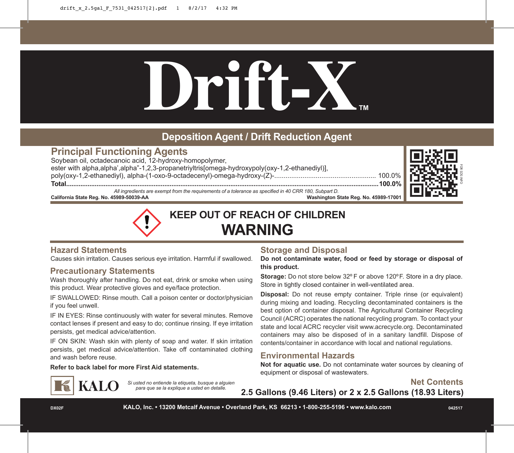# **Drift-X™**

# **Deposition Agent / Drift Reduction Agent**

# **Principal Functioning Agents**

Soybean oil, octadecanoic acid, 12-hydroxy-homopolymer, ester with alpha,alpha',alpha"-1,2,3-propanetriyltris[omega-hydroxypoly(oxy-1,2-ethanediyl)], poly(oxy-1,2-ethanediyl), alpha-(1-oxo-9-octadecenyl)-omega-hydroxy-(Z)-...................................................... 100.0% **Total...............................................................................................................................................................................100.0%**



*All ingredients are exempt from the requirements of a tolerance as specified in 40 CRR 180, Subpart D.* **Washington State Reg. No. 45989-17001** 



**KEEP OUT OF REACH OF CHILDREN WARNING**

# **Hazard Statements**

Causes skin irritation. Causes serious eye irritation. Harmful if swallowed.

# **Precautionary Statements**

**KALO** 

Wash thoroughly after handling. Do not eat, drink or smoke when using this product. Wear protective gloves and eye/face protection.

IF SWALLOWED: Rinse mouth. Call a poison center or doctor/physician if you feel unwell.

IF IN EYES: Rinse continuously with water for several minutes. Remove contact lenses if present and easy to do; continue rinsing. If eye irritation persists, get medical advice/attention.

IF ON SKIN: Wash skin with plenty of soap and water. If skin irritation persists, get medical advice/attention. Take off contaminated clothing and wash before reuse.

> *Si usted no entiende la etiqueta, busque a alguien para que se la explique a usted en detalle.*

**Refer to back label for more First Aid statements.**

# **Storage and Disposal**

**Do not contaminate water, food or feed by storage or disposal of this product.**

**Storage:** Do not store below 32º F or above 120ºF. Store in a dry place. Store in tightly closed container in well-ventilated area.

**Disposal:** Do not reuse empty container. Triple rinse (or equivalent) during mixing and loading. Recycling decontaminated containers is the best option of container disposal. The Agricultural Container Recycling Council (ACRC) operates the national recycling program. To contact your state and local ACRC recycler visit www.acrecycle.org. Decontaminated containers may also be disposed of in a sanitary landfill. Dispose of contents/container in accordance with local and national regulations.

# **Environmental Hazards**

**Not for aquatic use.** Do not contaminate water sources by cleaning of equipment or disposal of wastewaters.



**2.5 Gallons (9.46 Liters) or 2 x 2.5 Gallons (18.93 Liters)**

**DX02F KALO, Inc. • 13200 Metcalf Avenue • Overland Park, KS 66213 • 1-800-255-5196 • www.kalo.com 042517**